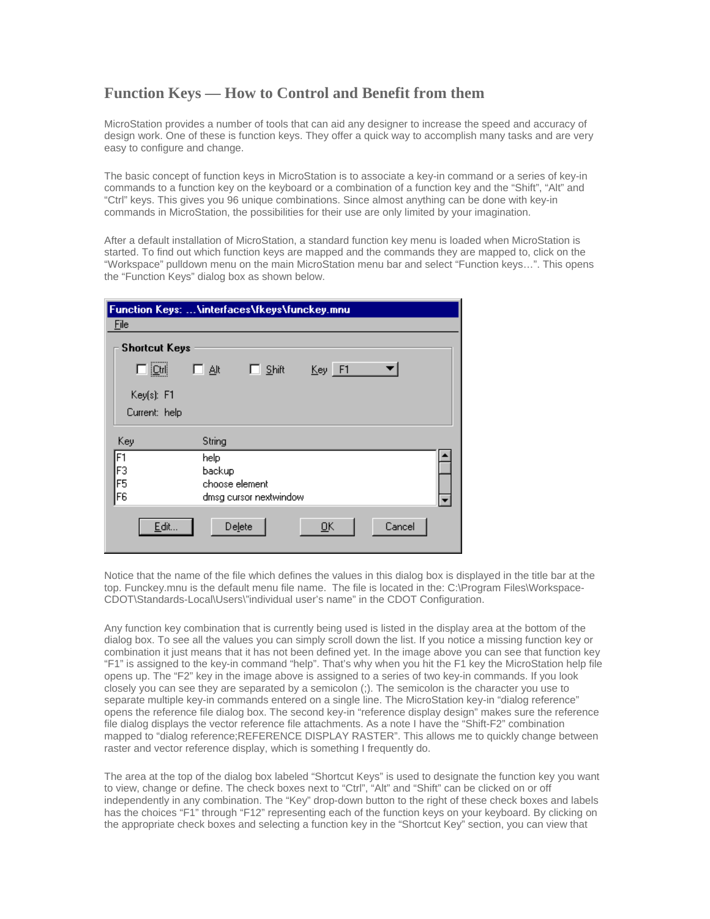## **Function Keys — How to Control and Benefit from them**

MicroStation provides a number of tools that can aid any designer to increase the speed and accuracy of design work. One of these is function keys. They offer a quick way to accomplish many tasks and are very easy to configure and change.

The basic concept of function keys in MicroStation is to associate a key-in command or a series of key-in commands to a function key on the keyboard or a combination of a function key and the "Shift", "Alt" and "Ctrl" keys. This gives you 96 unique combinations. Since almost anything can be done with key-in commands in MicroStation, the possibilities for their use are only limited by your imagination.

After a default installation of MicroStation, a standard function key menu is loaded when MicroStation is started. To find out which function keys are mapped and the commands they are mapped to, click on the "Workspace" pulldown menu on the main MicroStation menu bar and select "Function keys…". This opens the "Function Keys" dialog box as shown below.

| Function Keys:  \interfaces\fkeys\funckey.mnu |                        |
|-----------------------------------------------|------------------------|
| File                                          |                        |
| <b>Shortcut Keys</b>                          |                        |
| $\Box$ [Ctrl]                                 | Key F1<br>Shift<br>口跳  |
| Key(s): F1                                    |                        |
| Current: help                                 |                        |
| Key                                           | String                 |
| F1                                            | help                   |
| F3                                            | backup                 |
| F5                                            | choose element         |
| F <sub>6</sub>                                | dmsg cursor nextwindow |
| Edit                                          | Cancel<br>Delete<br>QK |

Notice that the name of the file which defines the values in this dialog box is displayed in the title bar at the top. Funckey.mnu is the default menu file name. The file is located in the: C:\Program Files\Workspace-CDOT\Standards-Local\Users\"individual user's name" in the CDOT Configuration.

Any function key combination that is currently being used is listed in the display area at the bottom of the dialog box. To see all the values you can simply scroll down the list. If you notice a missing function key or combination it just means that it has not been defined yet. In the image above you can see that function key "F1" is assigned to the key-in command "help". That's why when you hit the F1 key the MicroStation help file opens up. The "F2" key in the image above is assigned to a series of two key-in commands. If you look closely you can see they are separated by a semicolon (;). The semicolon is the character you use to separate multiple key-in commands entered on a single line. The MicroStation key-in "dialog reference" opens the reference file dialog box. The second key-in "reference display design" makes sure the reference file dialog displays the vector reference file attachments. As a note I have the "Shift-F2" combination mapped to "dialog reference;REFERENCE DISPLAY RASTER". This allows me to quickly change between raster and vector reference display, which is something I frequently do.

The area at the top of the dialog box labeled "Shortcut Keys" is used to designate the function key you want to view, change or define. The check boxes next to "Ctrl", "Alt" and "Shift" can be clicked on or off independently in any combination. The "Key" drop-down button to the right of these check boxes and labels has the choices "F1" through "F12" representing each of the function keys on your keyboard. By clicking on the appropriate check boxes and selecting a function key in the "Shortcut Key" section, you can view that